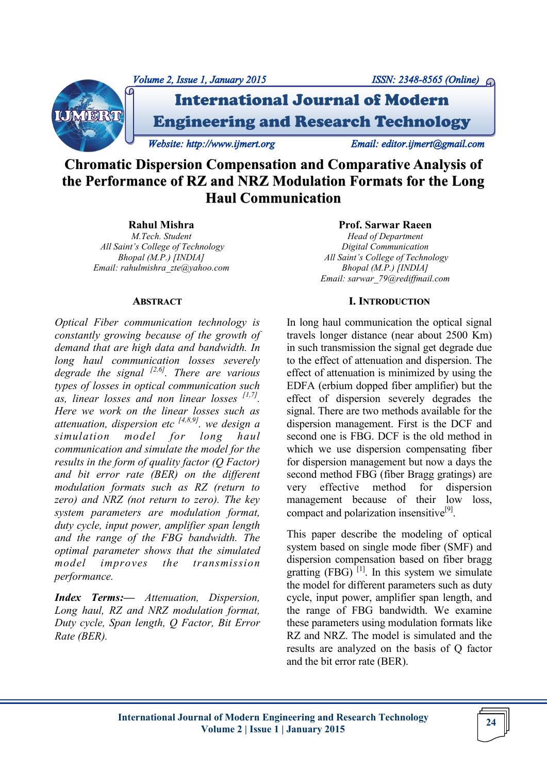

# **Chromatic Dispersion Compensation and Comparative Analysis of the Performance of RZ and NRZ Modulation Formats for the Long Haul Communication**

# **Rahul Mishra**

*M.Tech. Student All Saint's College of Technology Bhopal (M.P.) [INDIA] Email: rahulmishra\_zte@yahoo.com*

#### **ABSTRACT**

*Optical Fiber communication technology is constantly growing because of the growth of demand that are high data and bandwidth. In long haul communication losses severely degrade the signal [2,6]. There are various types of losses in optical communication such as, linear losses and non linear losses [1,7] . Here we work on the linear losses such as attenuation, dispersion etc [4,8,9]. we design a simulation model for long haul communication and simulate the model for the results in the form of quality factor (Q Factor) and bit error rate (BER) on the different modulation formats such as RZ (return to zero) and NRZ (not return to zero). The key system parameters are modulation format, duty cycle, input power, amplifier span length and the range of the FBG bandwidth. The optimal parameter shows that the simulated model improves the transmission performance.*

*Index Terms:— Attenuation, Dispersion, Long haul, RZ and NRZ modulation format, Duty cycle, Span length, Q Factor, Bit Error Rate (BER).*

#### **Prof. Sarwar Raeen**

*Head of Department Digital Communication All Saint's College of Technology Bhopal (M.P.) [INDIA] Email: sarwar\_79@rediffmail.com*

# **I. INTRODUCTION**

In long haul communication the optical signal travels longer distance (near about 2500 Km) in such transmission the signal get degrade due to the effect of attenuation and dispersion. The effect of attenuation is minimized by using the EDFA (erbium dopped fiber amplifier) but the effect of dispersion severely degrades the signal. There are two methods available for the dispersion management. First is the DCF and second one is FBG. DCF is the old method in which we use dispersion compensating fiber for dispersion management but now a days the second method FBG (fiber Bragg gratings) are very effective method for dispersion management because of their low loss, compact and polarization insensitive<sup>[9]</sup>.

This paper describe the modeling of optical system based on single mode fiber (SMF) and dispersion compensation based on fiber bragg gratting  $(FBG)^{[1]}$ . In this system we simulate the model for different parameters such as duty cycle, input power, amplifier span length, and the range of FBG bandwidth. We examine these parameters using modulation formats like RZ and NRZ. The model is simulated and the results are analyzed on the basis of Q factor and the bit error rate (BER).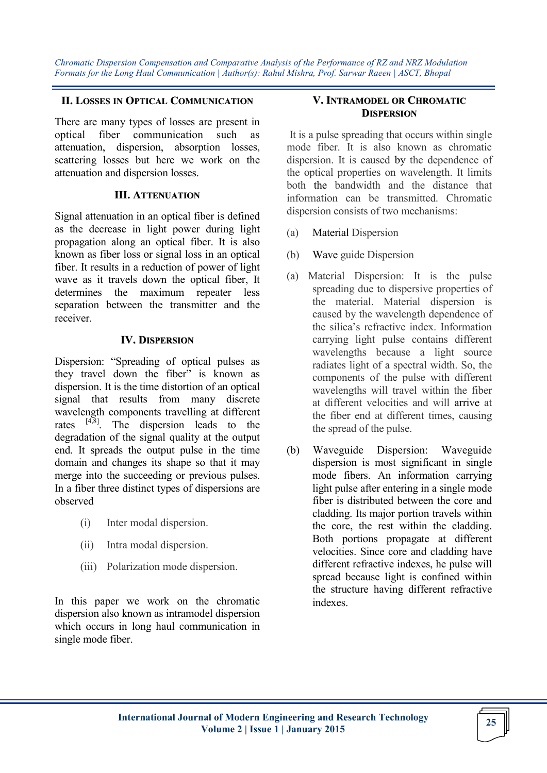#### **II. LOSSES IN OPTICAL COMMUNICATION**

There are many types of losses are present in optical fiber communication such as attenuation, dispersion, absorption losses, scattering losses but here we work on the attenuation and dispersion losses.

#### **III. ATTENUATION**

Signal attenuation in an optical fiber is defined as the decrease in light power during light propagation along an optical fiber. It is also known as fiber loss or signal loss in an optical fiber. It results in a reduction of power of light wave as it travels down the optical fiber, It determines the maximum repeater less separation between the transmitter and the receiver.

# **IV. DISPERSION**

Dispersion: "Spreading of optical pulses as they travel down the fiber" is known as dispersion. It is the time distortion of an optical signal that results from many discrete wavelength components travelling at different rates  $[4,8]$ . The dispersion leads to the degradation of the signal quality at the output end. It spreads the output pulse in the time domain and changes its shape so that it may merge into the succeeding or previous pulses. In a fiber three distinct types of dispersions are observed

- (i) Inter modal dispersion.
- (ii) Intra modal dispersion.
- (iii) Polarization mode dispersion.

In this paper we work on the chromatic dispersion also known as intramodel dispersion which occurs in long haul communication in single mode fiber.

# **V. INTRAMODEL OR CHROMATIC DISPERSION**

It is a pulse spreading that occurs within single mode fiber. It is also known as chromatic dispersion. It is caused by the dependence of the optical properties on wavelength. It limits both the bandwidth and the distance that information can be transmitted. Chromatic dispersion consists of two mechanisms:

- (a) Material Dispersion
- (b) Wave guide Dispersion
- (a) Material Dispersion: It is the pulse spreading due to dispersive properties of the material. Material dispersion is caused by the wavelength dependence of the silica's refractive index. Information carrying light pulse contains different wavelengths because a light source radiates light of a spectral width. So, the components of the pulse with different wavelengths will travel within the fiber at different velocities and will arrive at the fiber end at different times, causing the spread of the pulse.
- (b) Waveguide Dispersion: Waveguide dispersion is most significant in single mode fibers. An information carrying light pulse after entering in a single mode fiber is distributed between the core and cladding. Its major portion travels within the core, the rest within the cladding. Both portions propagate at different velocities. Since core and cladding have different refractive indexes, he pulse will spread because light is confined within the structure having different refractive indexes.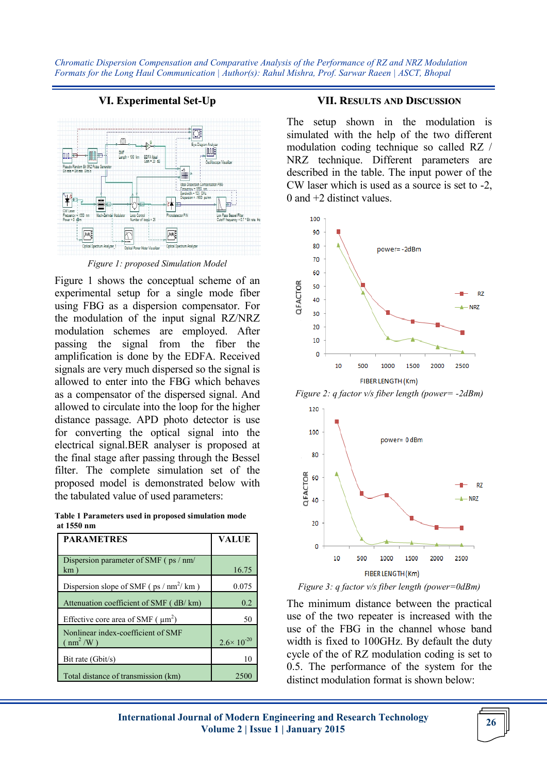# **VI. Experimental Set-Up**



*Figure 1: proposed Simulation Model*

Figure 1 shows the conceptual scheme of an experimental setup for a single mode fiber using FBG as a dispersion compensator. For the modulation of the input signal RZ/NRZ modulation schemes are employed. After passing the signal from the fiber the amplification is done by the EDFA. Received signals are very much dispersed so the signal is allowed to enter into the FBG which behaves as a compensator of the dispersed signal. And allowed to circulate into the loop for the higher distance passage. APD photo detector is use for converting the optical signal into the electrical signal.BER analyser is proposed at the final stage after passing through the Bessel filter. The complete simulation set of the proposed model is demonstrated below with the tabulated value of used parameters:

**Table 1 Parameters used in proposed simulation mode at 1550 nm**

| <b>PARAMETRES</b>                                                              | <b>VALUE</b>          |
|--------------------------------------------------------------------------------|-----------------------|
| Dispersion parameter of SMF (ps / nm/<br>km)                                   | 16.75                 |
| Dispersion slope of SMF ( $ps / nm^2 / km$ )                                   | 0.075                 |
| Attenuation coefficient of SMF (dB/km)                                         | 0.2                   |
| Effective core area of SMF $(\mu m^2)$                                         | 50                    |
| Nonlinear index-coefficient of SMF<br>$\left( \text{ nm}^2 / \text{W} \right)$ | $2.6 \times 10^{-20}$ |
| Bit rate (Gbit/s)                                                              | 10                    |
| Total distance of transmission (km)                                            | 2500                  |

#### **VII. RESULTS AND DISCUSSION**

The setup shown in the modulation is simulated with the help of the two different modulation coding technique so called RZ / NRZ technique. Different parameters are described in the table. The input power of the CW laser which is used as a source is set to -2, 0 and +2 distinct values.



*Figure 2: q factor v/s fiber length (power= -2dBm)*



*Figure 3: q factor v/s fiber length (power=0dBm)*

The minimum distance between the practical use of the two repeater is increased with the use of the FBG in the channel whose band width is fixed to 100GHz. By default the duty cycle of the of RZ modulation coding is set to 0.5. The performance of the system for the distinct modulation format is shown below: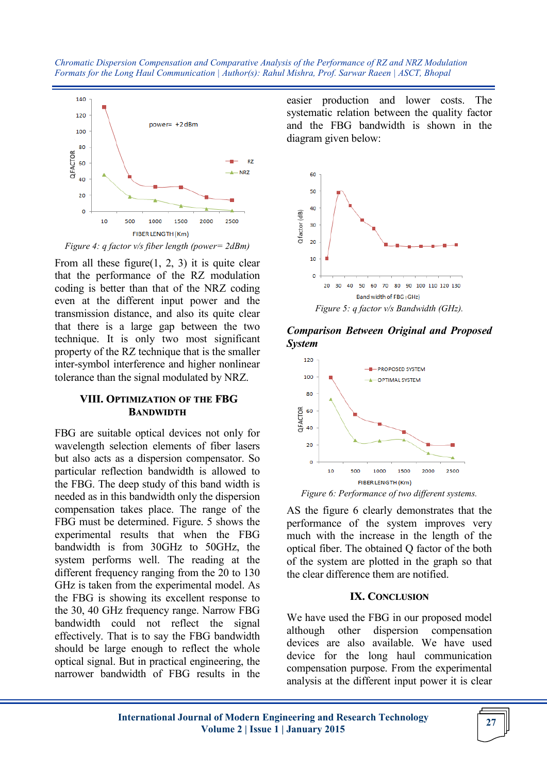

*Figure 4: q factor v/s fiber length (power= 2dBm)*

From all these figure(1, 2, 3) it is quite clear that the performance of the RZ modulation coding is better than that of the NRZ coding even at the different input power and the transmission distance, and also its quite clear that there is a large gap between the two technique. It is only two most significant property of the RZ technique that is the smaller inter-symbol interference and higher nonlinear tolerance than the signal modulated by NRZ.

# **VIII. OPTIMIZATION OF THE FBG BANDWIDTH**

FBG are suitable optical devices not only for wavelength selection elements of fiber lasers but also acts as a dispersion compensator. So particular reflection bandwidth is allowed to the FBG. The deep study of this band width is needed as in this bandwidth only the dispersion compensation takes place. The range of the FBG must be determined. Figure. 5 shows the experimental results that when the FBG bandwidth is from 30GHz to 50GHz, the system performs well. The reading at the different frequency ranging from the 20 to 130 GHz is taken from the experimental model. As the FBG is showing its excellent response to the 30, 40 GHz frequency range. Narrow FBG bandwidth could not reflect the signal effectively. That is to say the FBG bandwidth should be large enough to reflect the whole optical signal. But in practical engineering, the narrower bandwidth of FBG results in the

easier production and lower costs. The systematic relation between the quality factor and the FBG bandwidth is shown in the diagram given below:



*Figure 5: q factor v/s Bandwidth (GHz).*

*Comparison Between Original and Proposed System*



*Figure 6: Performance of two different systems.*

AS the figure 6 clearly demonstrates that the performance of the system improves very much with the increase in the length of the optical fiber. The obtained Q factor of the both of the system are plotted in the graph so that the clear difference them are notified.

#### **IX. CONCLUSION**

We have used the FBG in our proposed model although other dispersion compensation devices are also available. We have used device for the long haul communication compensation purpose. From the experimental analysis at the different input power it is clear